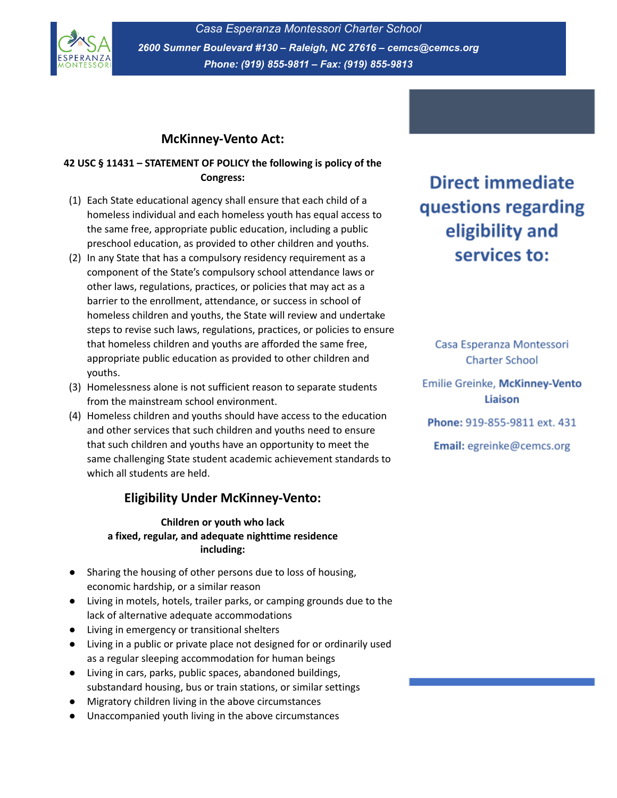

*Casa Esperanza Montessori Charter School 2600 Sumner Boulevard #130 – Raleigh, NC 27616 – cemcs@cemcs.org Phone: (919) 855-9811 – Fax: (919) 855-9813*

## **McKinney-Vento Act:**

#### **42 USC § 11431 – STATEMENT OF POLICY the following is policy of the Congress:**

- (1) Each State educational agency shall ensure that each child of a homeless individual and each homeless youth has equal access to the same free, appropriate public education, including a public preschool education, as provided to other children and youths.
- (2) In any State that has a compulsory residency requirement as a component of the State's compulsory school attendance laws or other laws, regulations, practices, or policies that may act as a barrier to the enrollment, attendance, or success in school of homeless children and youths, the State will review and undertake steps to revise such laws, regulations, practices, or policies to ensure that homeless children and youths are afforded the same free, appropriate public education as provided to other children and youths.
- (3) Homelessness alone is not sufficient reason to separate students from the mainstream school environment.
- (4) Homeless children and youths should have access to the education and other services that such children and youths need to ensure that such children and youths have an opportunity to meet the same challenging State student academic achievement standards to which all students are held.

## **Eligibility Under McKinney-Vento:**

**Children or youth who lack a fixed, regular, and adequate nighttime residence including:**

- Sharing the housing of other persons due to loss of housing, economic hardship, or a similar reason
- Living in motels, hotels, trailer parks, or camping grounds due to the lack of alternative adequate accommodations
- Living in emergency or transitional shelters
- Living in a public or private place not designed for or ordinarily used as a regular sleeping accommodation for human beings
- Living in cars, parks, public spaces, abandoned buildings, substandard housing, bus or train stations, or similar settings
- Migratory children living in the above circumstances
- Unaccompanied youth living in the above circumstances

# **Direct immediate** questions regarding eligibility and services to:

Casa Esperanza Montessori **Charter School** 

Emilie Greinke, McKinney-Vento Liaison

Phone: 919-855-9811 ext. 431

Email: egreinke@cemcs.org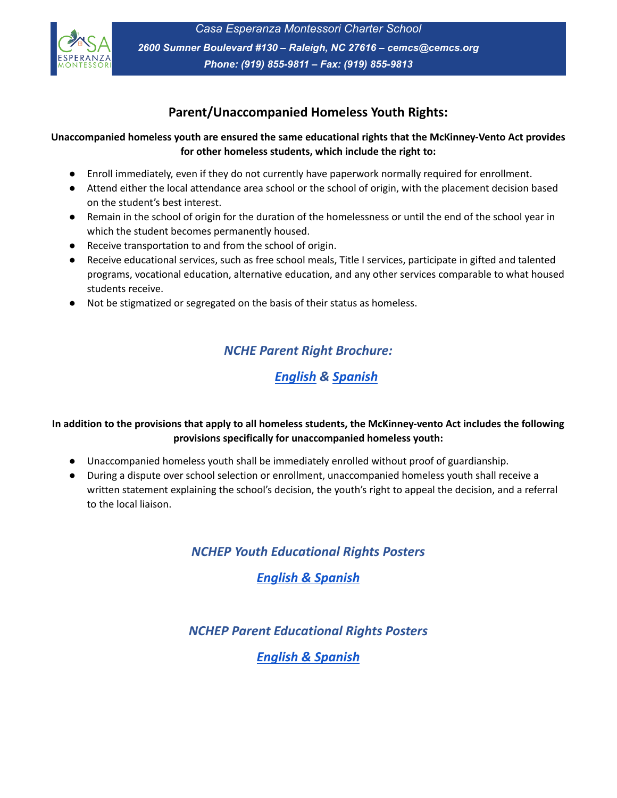

*Casa Esperanza Montessori Charter School 2600 Sumner Boulevard #130 – Raleigh, NC 27616 – cemcs@cemcs.org Phone: (919) 855-9811 – Fax: (919) 855-9813*

## **Parent/Unaccompanied Homeless Youth Rights:**

#### **Unaccompanied homeless youth are ensured the same educational rights that the McKinney-Vento Act provides for other homeless students, which include the right to:**

- Enroll immediately, even if they do not currently have paperwork normally required for enrollment.
- Attend either the local attendance area school or the school of origin, with the placement decision based on the student's best interest.
- Remain in the school of origin for the duration of the homelessness or until the end of the school year in which the student becomes permanently housed.
- Receive transportation to and from the school of origin.
- Receive educational services, such as free school meals, Title I services, participate in gifted and talented programs, vocational education, alternative education, and any other services comparable to what housed students receive.
- Not be stigmatized or segregated on the basis of their status as homeless.

## *NCHE Parent Right Brochure:*

## *[English](https://nche.ed.gov/wp-content/uploads/2018/11/parentbrochure_eng.pdf) & [Spanish](https://nche.ed.gov/wp-content/uploads/2018/11/parentbrochure_sp.pdf)*

### In addition to the provisions that apply to all homeless students, the McKinney-vento Act includes the following **provisions specifically for unaccompanied homeless youth:**

- Unaccompanied homeless youth shall be immediately enrolled without proof of guardianship.
- During a dispute over school selection or enrollment, unaccompanied homeless youth shall receive a written statement explaining the school's decision, the youth's right to appeal the decision, and a referral to the local liaison.

*NCHEP Youth Educational Rights Posters*

*English & [Spanish](https://hepnc.uncg.edu/wp-content/uploads/Docs/NCHEPyouthposter17.pdf)*

*NCHEP Parent Educational Rights Posters*

*English & [Spanish](https://hepnc.uncg.edu/wp-content/uploads/Docs/NCHEPparentposter17.pdf)*